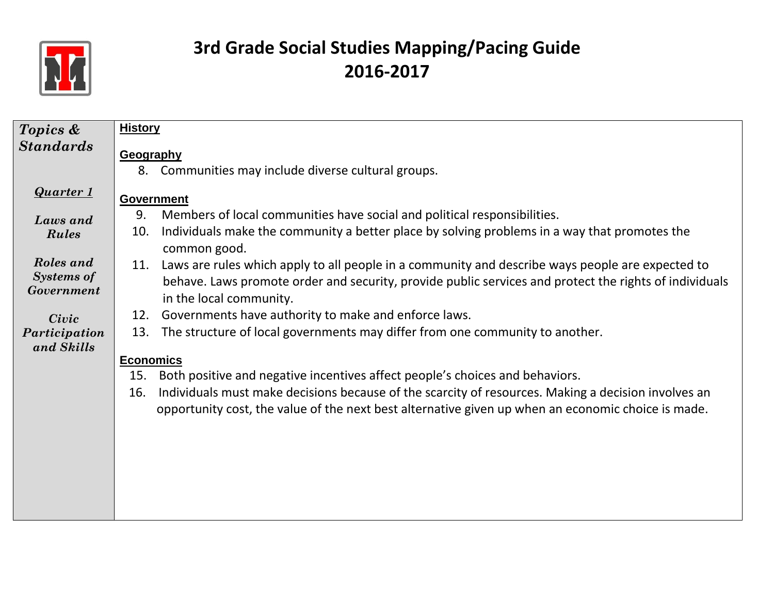

| Topics &          | <b>History</b>                                                                                             |
|-------------------|------------------------------------------------------------------------------------------------------------|
| <b>Standards</b>  | Geography                                                                                                  |
|                   | Communities may include diverse cultural groups.<br>8.                                                     |
|                   |                                                                                                            |
| <b>Quarter 1</b>  | <b>Government</b>                                                                                          |
| Laws and          | 9.<br>Members of local communities have social and political responsibilities.                             |
| <b>Rules</b>      | Individuals make the community a better place by solving problems in a way that promotes the<br>10.        |
|                   | common good.                                                                                               |
| Roles and         | Laws are rules which apply to all people in a community and describe ways people are expected to<br>11.    |
| <b>Systems of</b> | behave. Laws promote order and security, provide public services and protect the rights of individuals     |
| Government        | in the local community.                                                                                    |
| Civic             | Governments have authority to make and enforce laws.<br>12.                                                |
| Participation     | The structure of local governments may differ from one community to another.<br>13.                        |
| and Skills        |                                                                                                            |
|                   | <b>Economics</b>                                                                                           |
|                   | 15.<br>Both positive and negative incentives affect people's choices and behaviors.                        |
|                   | Individuals must make decisions because of the scarcity of resources. Making a decision involves an<br>16. |
|                   | opportunity cost, the value of the next best alternative given up when an economic choice is made.         |
|                   |                                                                                                            |
|                   |                                                                                                            |
|                   |                                                                                                            |
|                   |                                                                                                            |
|                   |                                                                                                            |
|                   |                                                                                                            |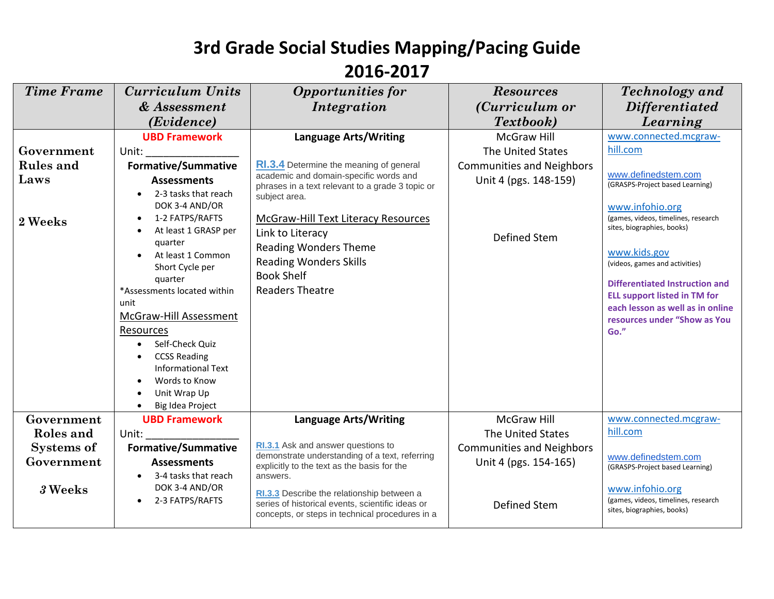| <b>Time Frame</b> | <b>Curriculum Units</b>                              | <b>Opportunities for</b>                                                                       | <b>Resources</b>                 | Technology and                                                    |
|-------------------|------------------------------------------------------|------------------------------------------------------------------------------------------------|----------------------------------|-------------------------------------------------------------------|
|                   | & Assessment                                         | Integration                                                                                    | (Curriculum or                   | <b>Differentiated</b>                                             |
|                   | (Evidence)                                           |                                                                                                | Textbook)                        | Learning                                                          |
|                   | <b>UBD Framework</b>                                 | <b>Language Arts/Writing</b>                                                                   | <b>McGraw Hill</b>               | www.connected.mcgraw-                                             |
| Government        | Unit:                                                |                                                                                                | The United States                | hill.com                                                          |
| <b>Rules</b> and  | <b>Formative/Summative</b>                           | RI.3.4 Determine the meaning of general                                                        | <b>Communities and Neighbors</b> |                                                                   |
| Laws              | <b>Assessments</b>                                   | academic and domain-specific words and<br>phrases in a text relevant to a grade 3 topic or     | Unit 4 (pgs. 148-159)            | www.definedstem.com<br>(GRASPS-Project based Learning)            |
|                   | 2-3 tasks that reach                                 | subject area.                                                                                  |                                  |                                                                   |
|                   | DOK 3-4 AND/OR                                       |                                                                                                |                                  | www.infohio.org                                                   |
| 2 Weeks           | 1-2 FATPS/RAFTS<br>$\bullet$<br>At least 1 GRASP per | <b>McGraw-Hill Text Literacy Resources</b>                                                     |                                  | (games, videos, timelines, research<br>sites, biographies, books) |
|                   | quarter                                              | Link to Literacy                                                                               | Defined Stem                     |                                                                   |
|                   | At least 1 Common                                    | <b>Reading Wonders Theme</b>                                                                   |                                  | www.kids.gov                                                      |
|                   | Short Cycle per                                      | <b>Reading Wonders Skills</b><br><b>Book Shelf</b>                                             |                                  | (videos, games and activities)                                    |
|                   | quarter<br>*Assessments located within               | <b>Readers Theatre</b>                                                                         |                                  | <b>Differentiated Instruction and</b>                             |
|                   | unit                                                 |                                                                                                |                                  | <b>ELL support listed in TM for</b>                               |
|                   | McGraw-Hill Assessment                               |                                                                                                |                                  | each lesson as well as in online<br>resources under "Show as You  |
|                   | Resources                                            |                                                                                                |                                  | Go."                                                              |
|                   | Self-Check Quiz                                      |                                                                                                |                                  |                                                                   |
|                   | <b>CCSS Reading</b>                                  |                                                                                                |                                  |                                                                   |
|                   | <b>Informational Text</b>                            |                                                                                                |                                  |                                                                   |
|                   | Words to Know<br>Unit Wrap Up                        |                                                                                                |                                  |                                                                   |
|                   | Big Idea Project                                     |                                                                                                |                                  |                                                                   |
| Government        | <b>UBD Framework</b>                                 | <b>Language Arts/Writing</b>                                                                   | <b>McGraw Hill</b>               | www.connected.mcgraw-                                             |
| Roles and         | Unit:                                                |                                                                                                | The United States                | hill.com                                                          |
| <b>Systems of</b> | <b>Formative/Summative</b>                           | RI.3.1 Ask and answer questions to                                                             | <b>Communities and Neighbors</b> |                                                                   |
| Government        | <b>Assessments</b>                                   | demonstrate understanding of a text, referring<br>explicitly to the text as the basis for the  | Unit 4 (pgs. 154-165)            | www.definedstem.com<br>(GRASPS-Project based Learning)            |
|                   | 3-4 tasks that reach                                 | answers.                                                                                       |                                  |                                                                   |
| 3 Weeks           | DOK 3-4 AND/OR<br>2-3 FATPS/RAFTS                    | RI.3.3 Describe the relationship between a<br>series of historical events, scientific ideas or | Defined Stem                     | www.infohio.org<br>(games, videos, timelines, research            |
|                   |                                                      | concepts, or steps in technical procedures in a                                                |                                  | sites, biographies, books)                                        |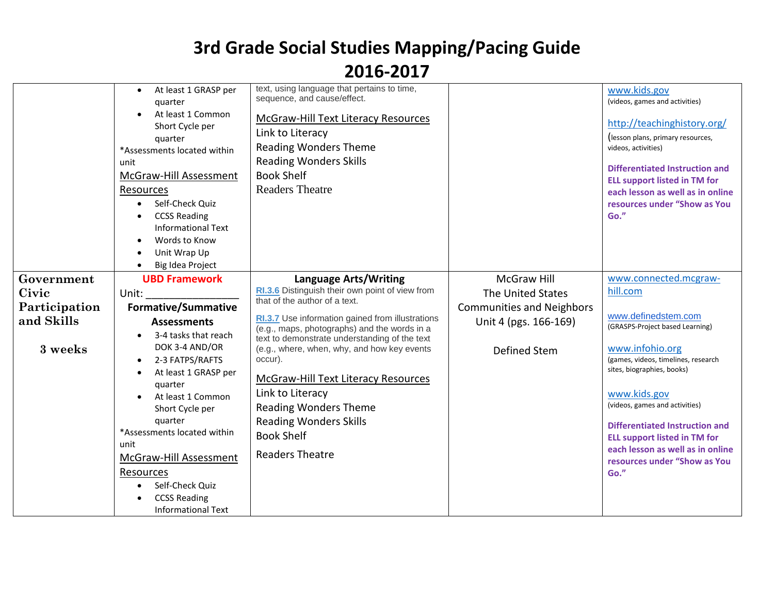|                        | At least 1 GRASP per<br>$\bullet$<br>quarter<br>At least 1 Common<br>Short Cycle per<br>quarter<br>*Assessments located within<br>unit<br>McGraw-Hill Assessment<br>Resources<br>Self-Check Quiz<br>$\bullet$<br><b>CCSS Reading</b><br><b>Informational Text</b><br>Words to Know<br>Unit Wrap Up<br>Big Idea Project | text, using language that pertains to time,<br>sequence, and cause/effect.<br><b>McGraw-Hill Text Literacy Resources</b><br>Link to Literacy<br><b>Reading Wonders Theme</b><br><b>Reading Wonders Skills</b><br><b>Book Shelf</b><br><b>Readers Theatre</b>                              |                                                           | www.kids.gov<br>(videos, games and activities)<br>http://teachinghistory.org/<br>(lesson plans, primary resources,<br>videos, activities)<br><b>Differentiated Instruction and</b><br><b>ELL support listed in TM for</b><br>each lesson as well as in online<br>resources under "Show as You<br>Go." |
|------------------------|------------------------------------------------------------------------------------------------------------------------------------------------------------------------------------------------------------------------------------------------------------------------------------------------------------------------|-------------------------------------------------------------------------------------------------------------------------------------------------------------------------------------------------------------------------------------------------------------------------------------------|-----------------------------------------------------------|-------------------------------------------------------------------------------------------------------------------------------------------------------------------------------------------------------------------------------------------------------------------------------------------------------|
| Government             | <b>UBD Framework</b>                                                                                                                                                                                                                                                                                                   | <b>Language Arts/Writing</b><br>RI.3.6 Distinguish their own point of view from                                                                                                                                                                                                           | McGraw Hill                                               | www.connected.mcgraw-<br>hill.com                                                                                                                                                                                                                                                                     |
| Civic<br>Participation | Unit:<br><b>Formative/Summative</b>                                                                                                                                                                                                                                                                                    | that of the author of a text.                                                                                                                                                                                                                                                             | The United States                                         |                                                                                                                                                                                                                                                                                                       |
| and Skills             | <b>Assessments</b>                                                                                                                                                                                                                                                                                                     | RI.3.7 Use information gained from illustrations                                                                                                                                                                                                                                          | <b>Communities and Neighbors</b><br>Unit 4 (pgs. 166-169) | www.definedstem.com                                                                                                                                                                                                                                                                                   |
|                        |                                                                                                                                                                                                                                                                                                                        | (e.g., maps, photographs) and the words in a                                                                                                                                                                                                                                              |                                                           | (GRASPS-Project based Learning)                                                                                                                                                                                                                                                                       |
| 3 weeks                | 3-4 tasks that reach<br>$\bullet$<br>DOK 3-4 AND/OR<br>2-3 FATPS/RAFTS<br>At least 1 GRASP per<br>quarter<br>At least 1 Common<br>Short Cycle per<br>quarter<br>*Assessments located within<br>unit<br>McGraw-Hill Assessment<br>Resources<br>Self-Check Quiz<br><b>CCSS Reading</b><br><b>Informational Text</b>      | text to demonstrate understanding of the text<br>(e.g., where, when, why, and how key events<br>occur).<br><b>McGraw-Hill Text Literacy Resources</b><br>Link to Literacy<br><b>Reading Wonders Theme</b><br><b>Reading Wonders Skills</b><br><b>Book Shelf</b><br><b>Readers Theatre</b> | <b>Defined Stem</b>                                       | www.infohio.org<br>(games, videos, timelines, research<br>sites, biographies, books)<br>www.kids.gov<br>(videos, games and activities)<br><b>Differentiated Instruction and</b><br><b>ELL support listed in TM for</b><br>each lesson as well as in online<br>resources under "Show as You<br>Go."    |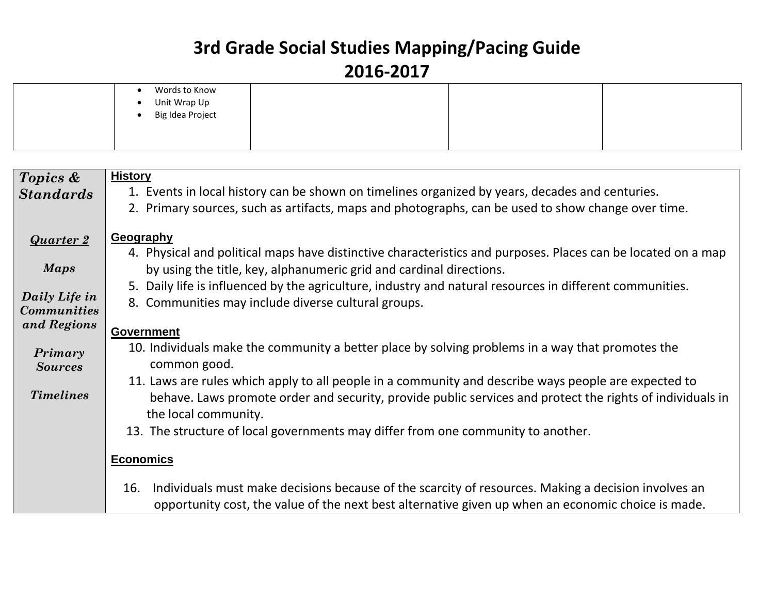| Words to Know<br>Unit Wrap Up<br>Big Idea Project<br>$\bullet$<br>$\bullet$ |  |  |  |
|-----------------------------------------------------------------------------|--|--|--|
|-----------------------------------------------------------------------------|--|--|--|

| Topics &                                         | <b>History</b>                                                                                                                                                                                                                                                                                                                                                      |
|--------------------------------------------------|---------------------------------------------------------------------------------------------------------------------------------------------------------------------------------------------------------------------------------------------------------------------------------------------------------------------------------------------------------------------|
| <b>Standards</b>                                 | 1. Events in local history can be shown on timelines organized by years, decades and centuries.                                                                                                                                                                                                                                                                     |
|                                                  | 2. Primary sources, such as artifacts, maps and photographs, can be used to show change over time.                                                                                                                                                                                                                                                                  |
| <b>Quarter 2</b><br><b>Maps</b><br>Daily Life in | Geography<br>4. Physical and political maps have distinctive characteristics and purposes. Places can be located on a map<br>by using the title, key, alphanumeric grid and cardinal directions.<br>5. Daily life is influenced by the agriculture, industry and natural resources in different communities.<br>8. Communities may include diverse cultural groups. |
| <b>Communities</b><br>and Regions                |                                                                                                                                                                                                                                                                                                                                                                     |
|                                                  | <b>Government</b>                                                                                                                                                                                                                                                                                                                                                   |
| Primary<br><b>Sources</b>                        | 10. Individuals make the community a better place by solving problems in a way that promotes the<br>common good.                                                                                                                                                                                                                                                    |
| <b>Timelines</b>                                 | 11. Laws are rules which apply to all people in a community and describe ways people are expected to<br>behave. Laws promote order and security, provide public services and protect the rights of individuals in                                                                                                                                                   |
|                                                  | the local community.                                                                                                                                                                                                                                                                                                                                                |
|                                                  | 13. The structure of local governments may differ from one community to another.                                                                                                                                                                                                                                                                                    |
|                                                  |                                                                                                                                                                                                                                                                                                                                                                     |
|                                                  | <b>Economics</b>                                                                                                                                                                                                                                                                                                                                                    |
|                                                  | Individuals must make decisions because of the scarcity of resources. Making a decision involves an<br>16.<br>opportunity cost, the value of the next best alternative given up when an economic choice is made.                                                                                                                                                    |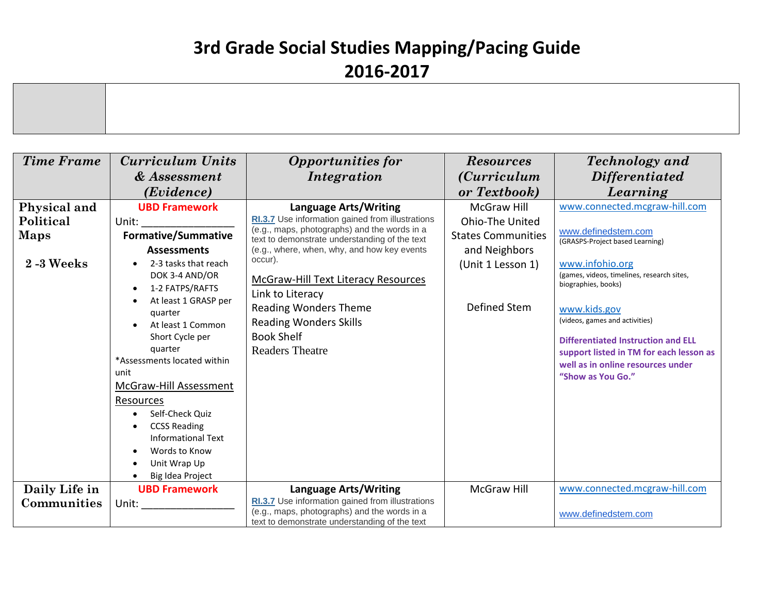| <b>Time Frame</b>                                         | <b>Curriculum Units</b>                                                                                                                                                                                                                                                                                                                                             | <b>Opportunities for</b>                                                                                                                                                                                                                                                                                                                                                                                               | <b>Resources</b>                                                                                                                | <b>Technology</b> and                                                                                                                                                                                                                                                                                                                                                               |
|-----------------------------------------------------------|---------------------------------------------------------------------------------------------------------------------------------------------------------------------------------------------------------------------------------------------------------------------------------------------------------------------------------------------------------------------|------------------------------------------------------------------------------------------------------------------------------------------------------------------------------------------------------------------------------------------------------------------------------------------------------------------------------------------------------------------------------------------------------------------------|---------------------------------------------------------------------------------------------------------------------------------|-------------------------------------------------------------------------------------------------------------------------------------------------------------------------------------------------------------------------------------------------------------------------------------------------------------------------------------------------------------------------------------|
|                                                           | & Assessment                                                                                                                                                                                                                                                                                                                                                        | Integration                                                                                                                                                                                                                                                                                                                                                                                                            | <i>(Curriculum</i> )                                                                                                            | <i>Differentiated</i>                                                                                                                                                                                                                                                                                                                                                               |
|                                                           | (Evidence)                                                                                                                                                                                                                                                                                                                                                          |                                                                                                                                                                                                                                                                                                                                                                                                                        | or Textbook)                                                                                                                    | Learning                                                                                                                                                                                                                                                                                                                                                                            |
| Physical and<br>Political<br><b>Maps</b><br>$2 - 3$ Weeks | <b>UBD Framework</b><br>Unit:<br><b>Formative/Summative</b><br><b>Assessments</b><br>2-3 tasks that reach<br>DOK 3-4 AND/OR<br>1-2 FATPS/RAFTS<br>At least 1 GRASP per<br>quarter<br>At least 1 Common<br>Short Cycle per<br>quarter<br>*Assessments located within<br>unit<br><b>McGraw-Hill Assessment</b><br>Resources<br>Self-Check Quiz<br><b>CCSS Reading</b> | <b>Language Arts/Writing</b><br>RI.3.7 Use information gained from illustrations<br>(e.g., maps, photographs) and the words in a<br>text to demonstrate understanding of the text<br>(e.g., where, when, why, and how key events<br>occur).<br>McGraw-Hill Text Literacy Resources<br>Link to Literacy<br><b>Reading Wonders Theme</b><br><b>Reading Wonders Skills</b><br><b>Book Shelf</b><br><b>Readers Theatre</b> | <b>McGraw Hill</b><br><b>Ohio-The United</b><br><b>States Communities</b><br>and Neighbors<br>(Unit 1 Lesson 1)<br>Defined Stem | www.connected.mcgraw-hill.com<br>www.definedstem.com<br>(GRASPS-Project based Learning)<br>www.infohio.org<br>(games, videos, timelines, research sites,<br>biographies, books)<br>www.kids.gov<br>(videos, games and activities)<br><b>Differentiated Instruction and ELL</b><br>support listed in TM for each lesson as<br>well as in online resources under<br>"Show as You Go." |
|                                                           | Informational Text<br>Words to Know<br>Unit Wrap Up                                                                                                                                                                                                                                                                                                                 |                                                                                                                                                                                                                                                                                                                                                                                                                        |                                                                                                                                 |                                                                                                                                                                                                                                                                                                                                                                                     |
|                                                           | Big Idea Project<br><b>UBD Framework</b>                                                                                                                                                                                                                                                                                                                            |                                                                                                                                                                                                                                                                                                                                                                                                                        | <b>McGraw Hill</b>                                                                                                              | www.connected.mcgraw-hill.com                                                                                                                                                                                                                                                                                                                                                       |
| Daily Life in                                             |                                                                                                                                                                                                                                                                                                                                                                     | <b>Language Arts/Writing</b><br>RI.3.7 Use information gained from illustrations                                                                                                                                                                                                                                                                                                                                       |                                                                                                                                 |                                                                                                                                                                                                                                                                                                                                                                                     |
| Communities                                               | Unit:                                                                                                                                                                                                                                                                                                                                                               | (e.g., maps, photographs) and the words in a<br>text to demonstrate understanding of the text                                                                                                                                                                                                                                                                                                                          |                                                                                                                                 | www.definedstem.com                                                                                                                                                                                                                                                                                                                                                                 |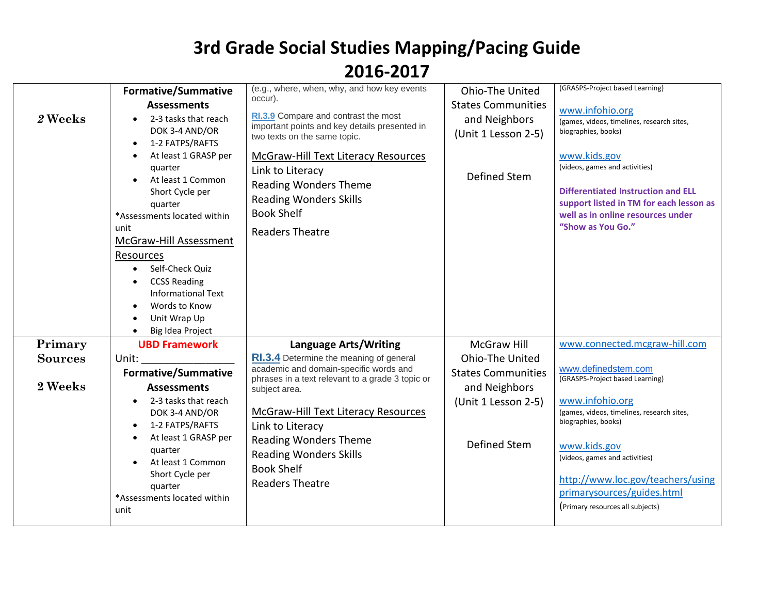| 2 Weeks                   | <b>Formative/Summative</b><br><b>Assessments</b><br>2-3 tasks that reach<br>DOK 3-4 AND/OR<br>1-2 FATPS/RAFTS<br>$\bullet$<br>At least 1 GRASP per<br>quarter<br>At least 1 Common<br>Short Cycle per<br>quarter<br>*Assessments located within<br>unit<br>McGraw-Hill Assessment<br>Resources<br>Self-Check Quiz<br>$\bullet$<br><b>CCSS Reading</b><br><b>Informational Text</b><br>Words to Know | (e.g., where, when, why, and how key events<br>occur).<br>RI.3.9 Compare and contrast the most<br>important points and key details presented in<br>two texts on the same topic.<br><b>McGraw-Hill Text Literacy Resources</b><br>Link to Literacy<br><b>Reading Wonders Theme</b><br><b>Reading Wonders Skills</b><br><b>Book Shelf</b><br><b>Readers Theatre</b> | Ohio-The United<br><b>States Communities</b><br>and Neighbors<br>(Unit 1 Lesson 2-5)<br>Defined Stem | (GRASPS-Project based Learning)<br>www.infohio.org<br>(games, videos, timelines, research sites,<br>biographies, books)<br>www.kids.gov<br>(videos, games and activities)<br><b>Differentiated Instruction and ELL</b><br>support listed in TM for each lesson as<br>well as in online resources under<br>"Show as You Go." |
|---------------------------|-----------------------------------------------------------------------------------------------------------------------------------------------------------------------------------------------------------------------------------------------------------------------------------------------------------------------------------------------------------------------------------------------------|-------------------------------------------------------------------------------------------------------------------------------------------------------------------------------------------------------------------------------------------------------------------------------------------------------------------------------------------------------------------|------------------------------------------------------------------------------------------------------|-----------------------------------------------------------------------------------------------------------------------------------------------------------------------------------------------------------------------------------------------------------------------------------------------------------------------------|
|                           | Unit Wrap Up<br>Big Idea Project                                                                                                                                                                                                                                                                                                                                                                    |                                                                                                                                                                                                                                                                                                                                                                   |                                                                                                      |                                                                                                                                                                                                                                                                                                                             |
| Primary                   | <b>UBD Framework</b>                                                                                                                                                                                                                                                                                                                                                                                | <b>Language Arts/Writing</b>                                                                                                                                                                                                                                                                                                                                      | <b>McGraw Hill</b>                                                                                   | www.connected.mcgraw-hill.com                                                                                                                                                                                                                                                                                               |
| <b>Sources</b><br>2 Weeks | Unit:<br><b>Formative/Summative</b><br><b>Assessments</b><br>2-3 tasks that reach<br>DOK 3-4 AND/OR<br>1-2 FATPS/RAFTS<br>At least 1 GRASP per<br>quarter<br>At least 1 Common<br>Short Cycle per<br>quarter<br>*Assessments located within<br>unit                                                                                                                                                 | RI.3.4 Determine the meaning of general<br>academic and domain-specific words and<br>phrases in a text relevant to a grade 3 topic or<br>subject area.<br><b>McGraw-Hill Text Literacy Resources</b><br>Link to Literacy<br><b>Reading Wonders Theme</b><br><b>Reading Wonders Skills</b><br><b>Book Shelf</b><br><b>Readers Theatre</b>                          | Ohio-The United<br><b>States Communities</b><br>and Neighbors<br>(Unit 1 Lesson 2-5)<br>Defined Stem | www.definedstem.com<br>(GRASPS-Project based Learning)<br>www.infohio.org<br>(games, videos, timelines, research sites,<br>biographies, books)<br>www.kids.gov<br>(videos, games and activities)<br>http://www.loc.gov/teachers/using<br>primarysources/guides.html<br>(Primary resources all subjects)                     |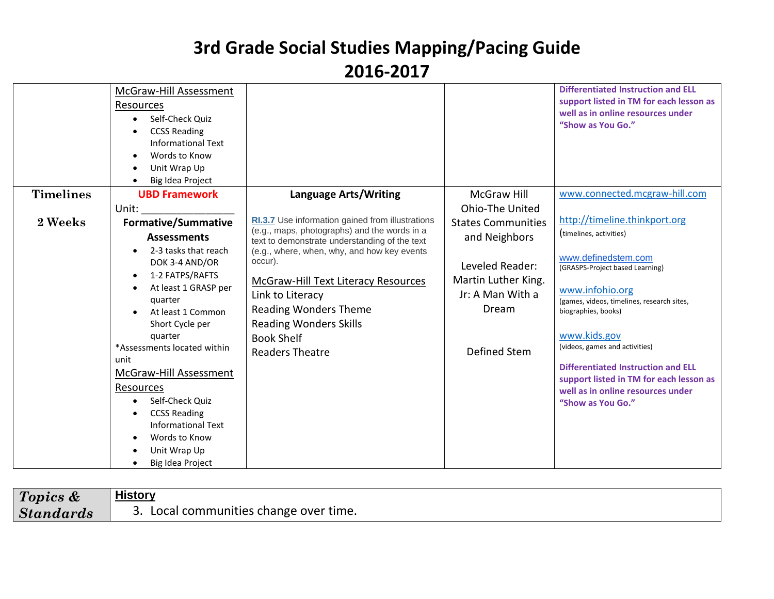|                  | McGraw-Hill Assessment<br>Resources<br>Self-Check Quiz<br><b>CCSS Reading</b><br><b>Informational Text</b><br>Words to Know<br>Unit Wrap Up<br>Big Idea Project |                                                                                                  |                           | <b>Differentiated Instruction and ELL</b><br>support listed in TM for each lesson as<br>well as in online resources under<br>"Show as You Go." |
|------------------|-----------------------------------------------------------------------------------------------------------------------------------------------------------------|--------------------------------------------------------------------------------------------------|---------------------------|------------------------------------------------------------------------------------------------------------------------------------------------|
| <b>Timelines</b> | <b>UBD Framework</b>                                                                                                                                            | <b>Language Arts/Writing</b>                                                                     | <b>McGraw Hill</b>        | www.connected.mcgraw-hill.com                                                                                                                  |
|                  | Unit:                                                                                                                                                           |                                                                                                  | <b>Ohio-The United</b>    |                                                                                                                                                |
| 2 Weeks          | <b>Formative/Summative</b>                                                                                                                                      | RI.3.7 Use information gained from illustrations<br>(e.g., maps, photographs) and the words in a | <b>States Communities</b> | http://timeline.thinkport.org                                                                                                                  |
|                  | <b>Assessments</b>                                                                                                                                              | text to demonstrate understanding of the text                                                    | and Neighbors             | (timelines, activities)                                                                                                                        |
|                  | 2-3 tasks that reach<br>$\bullet$                                                                                                                               | (e.g., where, when, why, and how key events<br>occur).                                           |                           | www.definedstem.com                                                                                                                            |
|                  | DOK 3-4 AND/OR<br>1-2 FATPS/RAFTS<br>$\bullet$                                                                                                                  |                                                                                                  | Leveled Reader:           | (GRASPS-Project based Learning)                                                                                                                |
|                  | At least 1 GRASP per                                                                                                                                            | McGraw-Hill Text Literacy Resources                                                              | Martin Luther King.       | www.infohio.org                                                                                                                                |
|                  | quarter                                                                                                                                                         | Link to Literacy                                                                                 | Jr: A Man With a          | (games, videos, timelines, research sites,                                                                                                     |
|                  | At least 1 Common                                                                                                                                               | <b>Reading Wonders Theme</b>                                                                     | Dream                     | biographies, books)                                                                                                                            |
|                  | Short Cycle per                                                                                                                                                 | <b>Reading Wonders Skills</b>                                                                    |                           |                                                                                                                                                |
|                  | quarter                                                                                                                                                         | <b>Book Shelf</b>                                                                                |                           | www.kids.gov                                                                                                                                   |
|                  | *Assessments located within<br>unit                                                                                                                             | <b>Readers Theatre</b>                                                                           | Defined Stem              | (videos, games and activities)                                                                                                                 |
|                  | McGraw-Hill Assessment                                                                                                                                          |                                                                                                  |                           | <b>Differentiated Instruction and ELL</b>                                                                                                      |
|                  | Resources                                                                                                                                                       |                                                                                                  |                           | support listed in TM for each lesson as                                                                                                        |
|                  | Self-Check Quiz                                                                                                                                                 |                                                                                                  |                           | well as in online resources under<br>"Show as You Go."                                                                                         |
|                  | <b>CCSS Reading</b>                                                                                                                                             |                                                                                                  |                           |                                                                                                                                                |
|                  | <b>Informational Text</b>                                                                                                                                       |                                                                                                  |                           |                                                                                                                                                |
|                  | Words to Know                                                                                                                                                   |                                                                                                  |                           |                                                                                                                                                |
|                  | Unit Wrap Up                                                                                                                                                    |                                                                                                  |                           |                                                                                                                                                |
|                  | Big Idea Project                                                                                                                                                |                                                                                                  |                           |                                                                                                                                                |

| Topics &  | <b>History</b>                      |
|-----------|-------------------------------------|
| Standards | Local communities change over time. |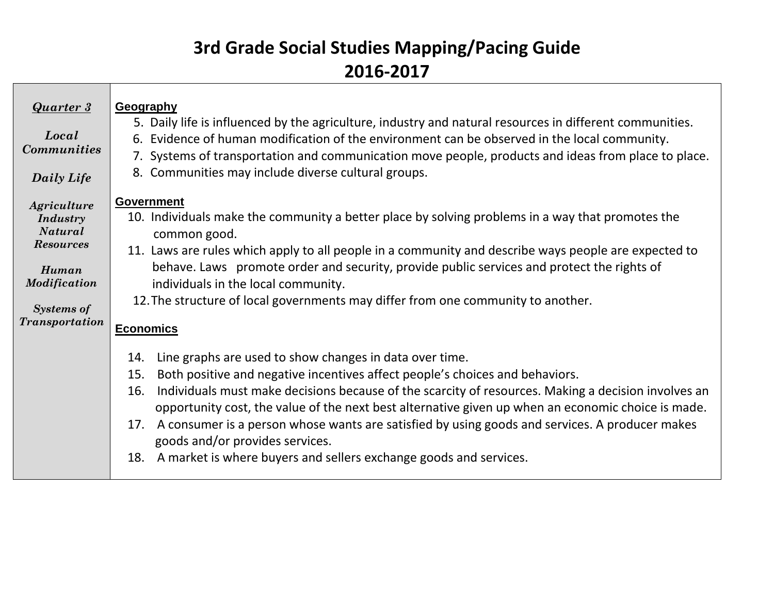| <b>Quarter 3</b><br>Local<br><b>Communities</b><br>Daily Life                                                                        | Geography<br>5. Daily life is influenced by the agriculture, industry and natural resources in different communities.<br>6. Evidence of human modification of the environment can be observed in the local community.<br>7. Systems of transportation and communication move people, products and ideas from place to place.<br>8. Communities may include diverse cultural groups.                                                                                                                                                                                                               |
|--------------------------------------------------------------------------------------------------------------------------------------|---------------------------------------------------------------------------------------------------------------------------------------------------------------------------------------------------------------------------------------------------------------------------------------------------------------------------------------------------------------------------------------------------------------------------------------------------------------------------------------------------------------------------------------------------------------------------------------------------|
| Agriculture<br>Industry<br><b>Natural</b><br><b>Resources</b><br>Human<br><b>Modification</b><br><b>Systems of</b><br>Transportation | <b>Government</b><br>10. Individuals make the community a better place by solving problems in a way that promotes the<br>common good.<br>11. Laws are rules which apply to all people in a community and describe ways people are expected to<br>behave. Laws promote order and security, provide public services and protect the rights of<br>individuals in the local community.<br>12. The structure of local governments may differ from one community to another.<br><b>Economics</b>                                                                                                        |
|                                                                                                                                      | Line graphs are used to show changes in data over time.<br>14.<br>Both positive and negative incentives affect people's choices and behaviors.<br>15.<br>Individuals must make decisions because of the scarcity of resources. Making a decision involves an<br>16.<br>opportunity cost, the value of the next best alternative given up when an economic choice is made.<br>A consumer is a person whose wants are satisfied by using goods and services. A producer makes<br>17.<br>goods and/or provides services.<br>A market is where buyers and sellers exchange goods and services.<br>18. |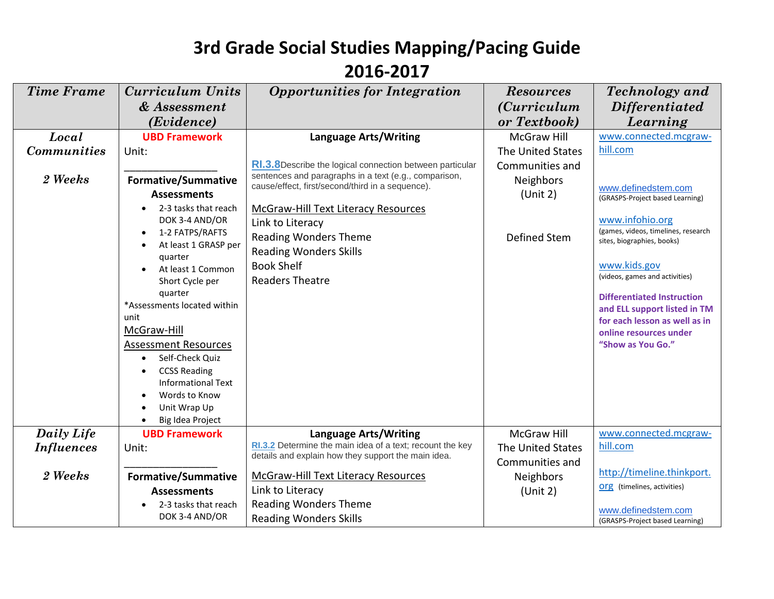| <b>Time Frame</b>  | <b>Curriculum Units</b>                          | <b>Opportunities for Integration</b>                                                                      | <b>Resources</b>     | Technology and                                                    |
|--------------------|--------------------------------------------------|-----------------------------------------------------------------------------------------------------------|----------------------|-------------------------------------------------------------------|
|                    | & Assessment                                     |                                                                                                           | <i>(Curriculum</i> ) | <i>Differentiated</i>                                             |
|                    | (Evidence)                                       |                                                                                                           | or Textbook)         | Learning                                                          |
| Local              | <b>UBD Framework</b>                             | <b>Language Arts/Writing</b>                                                                              | <b>McGraw Hill</b>   | www.connected.mcgraw-                                             |
| <b>Communities</b> | Unit:                                            |                                                                                                           | The United States    | hill.com                                                          |
|                    |                                                  | RI.3.8Describe the logical connection between particular                                                  | Communities and      |                                                                   |
| 2 Weeks            | <b>Formative/Summative</b>                       | sentences and paragraphs in a text (e.g., comparison,<br>cause/effect, first/second/third in a sequence). | <b>Neighbors</b>     |                                                                   |
|                    | <b>Assessments</b>                               |                                                                                                           | (Unit 2)             | www.definedstem.com<br>(GRASPS-Project based Learning)            |
|                    | 2-3 tasks that reach                             | <b>McGraw-Hill Text Literacy Resources</b>                                                                |                      |                                                                   |
|                    | DOK 3-4 AND/OR                                   | Link to Literacy                                                                                          |                      | www.infohio.org                                                   |
|                    | 1-2 FATPS/RAFTS                                  | <b>Reading Wonders Theme</b>                                                                              | <b>Defined Stem</b>  | (games, videos, timelines, research<br>sites, biographies, books) |
|                    | At least 1 GRASP per                             | <b>Reading Wonders Skills</b>                                                                             |                      |                                                                   |
|                    | quarter<br>At least 1 Common                     | <b>Book Shelf</b>                                                                                         |                      | www.kids.gov                                                      |
|                    | Short Cycle per                                  | <b>Readers Theatre</b>                                                                                    |                      | (videos, games and activities)                                    |
|                    | quarter                                          |                                                                                                           |                      | <b>Differentiated Instruction</b>                                 |
|                    | *Assessments located within                      |                                                                                                           |                      | and ELL support listed in TM                                      |
|                    | unit                                             |                                                                                                           |                      | for each lesson as well as in                                     |
|                    | McGraw-Hill                                      |                                                                                                           |                      | online resources under                                            |
|                    | <b>Assessment Resources</b>                      |                                                                                                           |                      | "Show as You Go."                                                 |
|                    | Self-Check Quiz                                  |                                                                                                           |                      |                                                                   |
|                    | <b>CCSS Reading</b><br><b>Informational Text</b> |                                                                                                           |                      |                                                                   |
|                    | Words to Know                                    |                                                                                                           |                      |                                                                   |
|                    | Unit Wrap Up                                     |                                                                                                           |                      |                                                                   |
|                    | Big Idea Project                                 |                                                                                                           |                      |                                                                   |
| Daily Life         | <b>UBD Framework</b>                             | <b>Language Arts/Writing</b>                                                                              | <b>McGraw Hill</b>   | www.connected.mcgraw-                                             |
| <i>Influences</i>  | Unit:                                            | RI.3.2 Determine the main idea of a text; recount the key                                                 | The United States    | hill.com                                                          |
|                    |                                                  | details and explain how they support the main idea.                                                       | Communities and      |                                                                   |
| 2 Weeks            | <b>Formative/Summative</b>                       | <b>McGraw-Hill Text Literacy Resources</b>                                                                | <b>Neighbors</b>     | http://timeline.thinkport.                                        |
|                    | <b>Assessments</b>                               | Link to Literacy                                                                                          | (Unit 2)             | <b>org</b> (timelines, activities)                                |
|                    | 2-3 tasks that reach                             | <b>Reading Wonders Theme</b>                                                                              |                      | www.definedstem.com                                               |
|                    | DOK 3-4 AND/OR                                   | <b>Reading Wonders Skills</b>                                                                             |                      | (GRASPS-Project based Learning)                                   |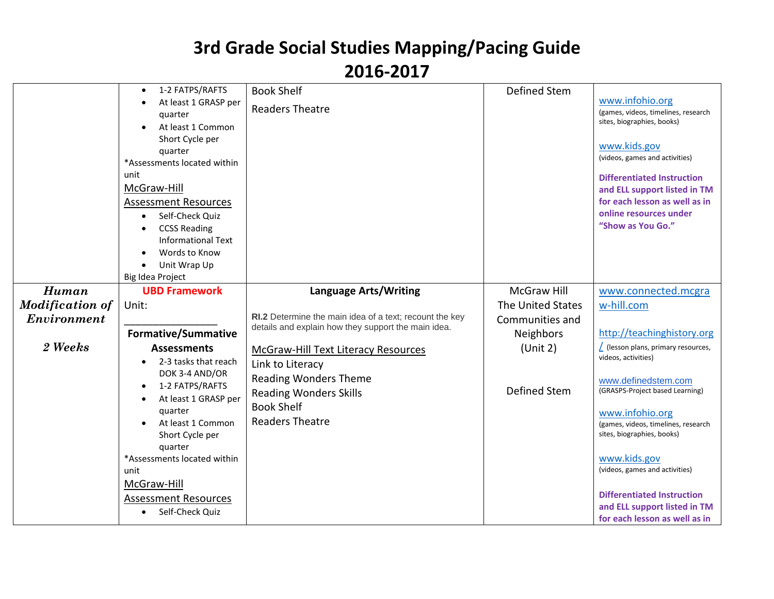|                                                | 1-2 FATPS/RAFTS<br>At least 1 GRASP per<br>quarter<br>At least 1 Common<br>Short Cycle per<br>quarter<br>*Assessments located within<br>unit<br>McGraw-Hill<br><b>Assessment Resources</b><br>Self-Check Quiz<br>$\bullet$<br><b>CCSS Reading</b><br><b>Informational Text</b><br>Words to Know<br>Unit Wrap Up<br>Big Idea Project | <b>Book Shelf</b><br><b>Readers Theatre</b>                                                                                                                                    | Defined Stem                                               | www.infohio.org<br>(games, videos, timelines, research<br>sites, biographies, books)<br>www.kids.gov<br>(videos, games and activities)<br><b>Differentiated Instruction</b><br>and ELL support listed in TM<br>for each lesson as well as in<br>online resources under<br>"Show as You Go."                                                                                   |
|------------------------------------------------|-------------------------------------------------------------------------------------------------------------------------------------------------------------------------------------------------------------------------------------------------------------------------------------------------------------------------------------|--------------------------------------------------------------------------------------------------------------------------------------------------------------------------------|------------------------------------------------------------|-------------------------------------------------------------------------------------------------------------------------------------------------------------------------------------------------------------------------------------------------------------------------------------------------------------------------------------------------------------------------------|
| Human<br><b>Modification of</b><br>Environment | <b>UBD Framework</b><br>Unit:                                                                                                                                                                                                                                                                                                       | <b>Language Arts/Writing</b><br>RI.2 Determine the main idea of a text; recount the key                                                                                        | <b>McGraw Hill</b><br>The United States<br>Communities and | www.connected.mcgra<br>w-hill.com                                                                                                                                                                                                                                                                                                                                             |
| 2 Weeks                                        | <b>Formative/Summative</b>                                                                                                                                                                                                                                                                                                          | details and explain how they support the main idea.                                                                                                                            | <b>Neighbors</b>                                           | http://teachinghistory.org                                                                                                                                                                                                                                                                                                                                                    |
|                                                | <b>Assessments</b><br>2-3 tasks that reach<br>DOK 3-4 AND/OR<br>1-2 FATPS/RAFTS<br>At least 1 GRASP per<br>quarter<br>At least 1 Common<br>Short Cycle per<br>quarter<br>*Assessments located within<br>unit<br>McGraw-Hill<br><b>Assessment Resources</b><br>Self-Check Quiz                                                       | <b>McGraw-Hill Text Literacy Resources</b><br>Link to Literacy<br><b>Reading Wonders Theme</b><br><b>Reading Wonders Skills</b><br><b>Book Shelf</b><br><b>Readers Theatre</b> | (Unit 2)<br>Defined Stem                                   | $\sqrt{ }$ (lesson plans, primary resources,<br>videos, activities)<br>www.definedstem.com<br>(GRASPS-Project based Learning)<br>www.infohio.org<br>(games, videos, timelines, research<br>sites, biographies, books)<br>www.kids.gov<br>(videos, games and activities)<br><b>Differentiated Instruction</b><br>and ELL support listed in TM<br>for each lesson as well as in |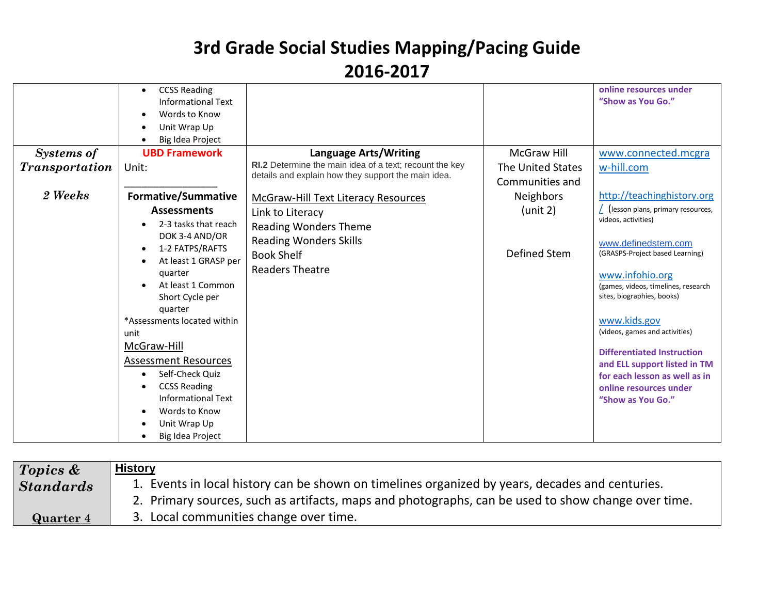|                       | <b>CCSS Reading</b><br><b>Informational Text</b><br>Words to Know<br>Unit Wrap Up<br>Big Idea Project |                                                                                                                |                                      | online resources under<br>"Show as You Go." |
|-----------------------|-------------------------------------------------------------------------------------------------------|----------------------------------------------------------------------------------------------------------------|--------------------------------------|---------------------------------------------|
| Systems of            | <b>UBD Framework</b>                                                                                  | <b>Language Arts/Writing</b>                                                                                   | <b>McGraw Hill</b>                   | www.connected.mcgra                         |
| <b>Transportation</b> | Unit:                                                                                                 | RI.2 Determine the main idea of a text; recount the key<br>details and explain how they support the main idea. | The United States<br>Communities and | w-hill.com                                  |
| 2 Weeks               | <b>Formative/Summative</b>                                                                            | <b>McGraw-Hill Text Literacy Resources</b>                                                                     | Neighbors                            | http://teachinghistory.org                  |
|                       | <b>Assessments</b>                                                                                    | Link to Literacy                                                                                               | (unit 2)                             | (lesson plans, primary resources,           |
|                       | 2-3 tasks that reach                                                                                  | <b>Reading Wonders Theme</b>                                                                                   |                                      | videos, activities)                         |
|                       | DOK 3-4 AND/OR<br>1-2 FATPS/RAFTS                                                                     | <b>Reading Wonders Skills</b>                                                                                  |                                      | www.definedstem.com                         |
|                       | At least 1 GRASP per                                                                                  | <b>Book Shelf</b>                                                                                              | Defined Stem                         | (GRASPS-Project based Learning)             |
|                       | quarter                                                                                               | <b>Readers Theatre</b>                                                                                         |                                      | www.infohio.org                             |
|                       | At least 1 Common                                                                                     |                                                                                                                |                                      | (games, videos, timelines, research         |
|                       | Short Cycle per<br>quarter                                                                            |                                                                                                                |                                      | sites, biographies, books)                  |
|                       | *Assessments located within                                                                           |                                                                                                                |                                      | www.kids.gov                                |
|                       | unit                                                                                                  |                                                                                                                |                                      | (videos, games and activities)              |
|                       | McGraw-Hill                                                                                           |                                                                                                                |                                      | <b>Differentiated Instruction</b>           |
|                       | <b>Assessment Resources</b>                                                                           |                                                                                                                |                                      | and ELL support listed in TM                |
|                       | Self-Check Quiz                                                                                       |                                                                                                                |                                      | for each lesson as well as in               |
|                       | <b>CCSS Reading</b><br><b>Informational Text</b>                                                      |                                                                                                                |                                      | online resources under<br>"Show as You Go." |
|                       | Words to Know                                                                                         |                                                                                                                |                                      |                                             |
|                       | Unit Wrap Up                                                                                          |                                                                                                                |                                      |                                             |
|                       | Big Idea Project                                                                                      |                                                                                                                |                                      |                                             |

| Topics &         | <b>History</b>                                                                                     |
|------------------|----------------------------------------------------------------------------------------------------|
| <b>Standards</b> | 1. Events in local history can be shown on timelines organized by years, decades and centuries.    |
|                  | 2. Primary sources, such as artifacts, maps and photographs, can be used to show change over time. |
| Quarter 4        | 3. Local communities change over time.                                                             |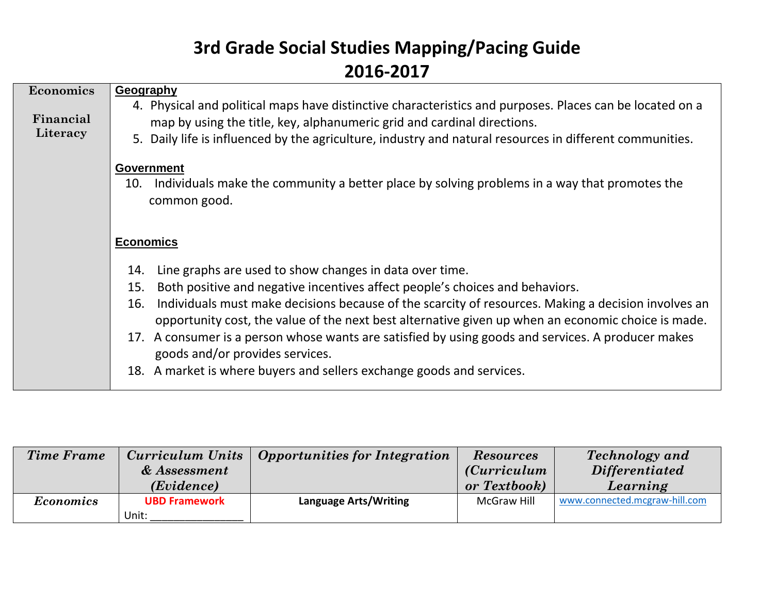| <b>Economics</b><br>Financial<br>Literacy | Geography<br>4. Physical and political maps have distinctive characteristics and purposes. Places can be located on a<br>map by using the title, key, alphanumeric grid and cardinal directions.<br>5. Daily life is influenced by the agriculture, industry and natural resources in different communities.                                                                                                                                                                                                                                                                                |
|-------------------------------------------|---------------------------------------------------------------------------------------------------------------------------------------------------------------------------------------------------------------------------------------------------------------------------------------------------------------------------------------------------------------------------------------------------------------------------------------------------------------------------------------------------------------------------------------------------------------------------------------------|
|                                           | <b>Government</b><br>Individuals make the community a better place by solving problems in a way that promotes the<br>10.<br>common good.                                                                                                                                                                                                                                                                                                                                                                                                                                                    |
|                                           | <b>Economics</b>                                                                                                                                                                                                                                                                                                                                                                                                                                                                                                                                                                            |
|                                           | Line graphs are used to show changes in data over time.<br>14.<br>Both positive and negative incentives affect people's choices and behaviors.<br>15.<br>Individuals must make decisions because of the scarcity of resources. Making a decision involves an<br>16.<br>opportunity cost, the value of the next best alternative given up when an economic choice is made.<br>17. A consumer is a person whose wants are satisfied by using goods and services. A producer makes<br>goods and/or provides services.<br>18. A market is where buyers and sellers exchange goods and services. |

| <b>Time Frame</b> | Curriculum Units     | <b>Opportunities for Integration</b> | <b>Resources</b>     | <b>Technology</b> and         |
|-------------------|----------------------|--------------------------------------|----------------------|-------------------------------|
|                   | & Assessment         |                                      | <i>(Curriculum</i> ) | <i>Differentiated</i>         |
|                   | ( <i>Evidence</i> )  |                                      | or Textbook)         | Learning                      |
| <b>Economics</b>  | <b>UBD Framework</b> | <b>Language Arts/Writing</b>         | McGraw Hill          | www.connected.mcgraw-hill.com |
|                   | Unit:                |                                      |                      |                               |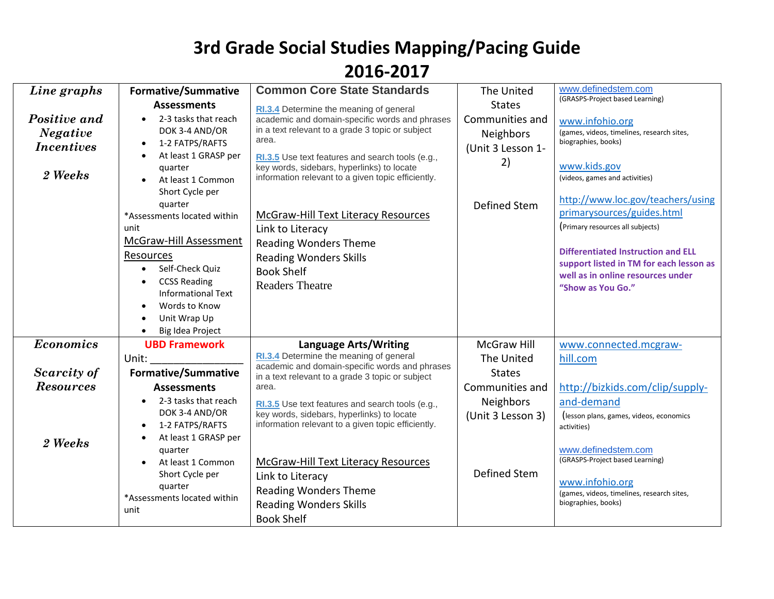| <b>Assessments</b><br><b>States</b><br>RI.3.4 Determine the meaning of general<br>Positive and<br>2-3 tasks that reach<br>academic and domain-specific words and phrases<br>Communities and<br>www.infohio.org<br>in a text relevant to a grade 3 topic or subject<br>DOK 3-4 AND/OR<br><b>Negative</b><br>Neighbors<br>area.<br>biographies, books)<br>1-2 FATPS/RAFTS<br>$\bullet$<br><i>Incentives</i><br>(Unit 3 Lesson 1-<br>At least 1 GRASP per<br>$\bullet$<br>RI.3.5 Use text features and search tools (e.g.,<br>2)<br>www.kids.gov<br>key words, sidebars, hyperlinks) to locate<br>quarter<br>2 Weeks<br>information relevant to a given topic efficiently.<br>(videos, games and activities)<br>At least 1 Common<br>Short Cycle per<br>quarter<br>Defined Stem<br><b>McGraw-Hill Text Literacy Resources</b><br>*Assessments located within<br>(Primary resources all subjects)<br>unit<br>Link to Literacy<br>McGraw-Hill Assessment<br><b>Reading Wonders Theme</b><br>Resources<br><b>Reading Wonders Skills</b><br>Self-Check Quiz<br>$\bullet$<br><b>Book Shelf</b><br><b>CCSS Reading</b><br>$\bullet$<br><b>Readers Theatre</b><br>"Show as You Go."<br><b>Informational Text</b><br>Words to Know<br>Unit Wrap Up<br>Big Idea Project<br><b>Economics</b><br><b>UBD Framework</b><br><b>McGraw Hill</b><br><b>Language Arts/Writing</b><br>www.connected.mcgraw-<br>RI.3.4 Determine the meaning of general<br>The United<br>hill.com<br>Unit:<br>academic and domain-specific words and phrases<br>Scarcity of<br><b>Formative/Summative</b><br><b>States</b><br>in a text relevant to a grade 3 topic or subject<br><b>Resources</b><br>http://bizkids.com/clip/supply-<br>Communities and<br><b>Assessments</b><br>area.<br>Neighbors<br>and-demand<br>2-3 tasks that reach<br>$\bullet$<br>RI.3.5 Use text features and search tools (e.g.,<br>DOK 3-4 AND/OR<br>key words, sidebars, hyperlinks) to locate<br>(Unit 3 Lesson 3)<br>information relevant to a given topic efficiently.<br>1-2 FATPS/RAFTS<br>activities)<br>At least 1 GRASP per<br>$\bullet$<br>2 Weeks<br>www.definedstem.com<br>quarter | Line graphs | <b>Formative/Summative</b> | <b>Common Core State Standards</b> | The United | www.definedstem.com                                                                                                                                                                                                                                                           |
|--------------------------------------------------------------------------------------------------------------------------------------------------------------------------------------------------------------------------------------------------------------------------------------------------------------------------------------------------------------------------------------------------------------------------------------------------------------------------------------------------------------------------------------------------------------------------------------------------------------------------------------------------------------------------------------------------------------------------------------------------------------------------------------------------------------------------------------------------------------------------------------------------------------------------------------------------------------------------------------------------------------------------------------------------------------------------------------------------------------------------------------------------------------------------------------------------------------------------------------------------------------------------------------------------------------------------------------------------------------------------------------------------------------------------------------------------------------------------------------------------------------------------------------------------------------------------------------------------------------------------------------------------------------------------------------------------------------------------------------------------------------------------------------------------------------------------------------------------------------------------------------------------------------------------------------------------------------------------------------------------------------------------------------------------------------------------------------------------------------------------------------|-------------|----------------------------|------------------------------------|------------|-------------------------------------------------------------------------------------------------------------------------------------------------------------------------------------------------------------------------------------------------------------------------------|
|                                                                                                                                                                                                                                                                                                                                                                                                                                                                                                                                                                                                                                                                                                                                                                                                                                                                                                                                                                                                                                                                                                                                                                                                                                                                                                                                                                                                                                                                                                                                                                                                                                                                                                                                                                                                                                                                                                                                                                                                                                                                                                                                      |             |                            |                                    |            | (GRASPS-Project based Learning)<br>(games, videos, timelines, research sites,<br>http://www.loc.gov/teachers/using<br>primarysources/guides.html<br><b>Differentiated Instruction and ELL</b><br>support listed in TM for each lesson as<br>well as in online resources under |
|                                                                                                                                                                                                                                                                                                                                                                                                                                                                                                                                                                                                                                                                                                                                                                                                                                                                                                                                                                                                                                                                                                                                                                                                                                                                                                                                                                                                                                                                                                                                                                                                                                                                                                                                                                                                                                                                                                                                                                                                                                                                                                                                      |             |                            |                                    |            |                                                                                                                                                                                                                                                                               |
|                                                                                                                                                                                                                                                                                                                                                                                                                                                                                                                                                                                                                                                                                                                                                                                                                                                                                                                                                                                                                                                                                                                                                                                                                                                                                                                                                                                                                                                                                                                                                                                                                                                                                                                                                                                                                                                                                                                                                                                                                                                                                                                                      |             |                            |                                    |            |                                                                                                                                                                                                                                                                               |
|                                                                                                                                                                                                                                                                                                                                                                                                                                                                                                                                                                                                                                                                                                                                                                                                                                                                                                                                                                                                                                                                                                                                                                                                                                                                                                                                                                                                                                                                                                                                                                                                                                                                                                                                                                                                                                                                                                                                                                                                                                                                                                                                      |             |                            |                                    |            |                                                                                                                                                                                                                                                                               |
|                                                                                                                                                                                                                                                                                                                                                                                                                                                                                                                                                                                                                                                                                                                                                                                                                                                                                                                                                                                                                                                                                                                                                                                                                                                                                                                                                                                                                                                                                                                                                                                                                                                                                                                                                                                                                                                                                                                                                                                                                                                                                                                                      |             |                            |                                    |            |                                                                                                                                                                                                                                                                               |
|                                                                                                                                                                                                                                                                                                                                                                                                                                                                                                                                                                                                                                                                                                                                                                                                                                                                                                                                                                                                                                                                                                                                                                                                                                                                                                                                                                                                                                                                                                                                                                                                                                                                                                                                                                                                                                                                                                                                                                                                                                                                                                                                      |             |                            |                                    |            |                                                                                                                                                                                                                                                                               |
|                                                                                                                                                                                                                                                                                                                                                                                                                                                                                                                                                                                                                                                                                                                                                                                                                                                                                                                                                                                                                                                                                                                                                                                                                                                                                                                                                                                                                                                                                                                                                                                                                                                                                                                                                                                                                                                                                                                                                                                                                                                                                                                                      |             |                            |                                    |            |                                                                                                                                                                                                                                                                               |
|                                                                                                                                                                                                                                                                                                                                                                                                                                                                                                                                                                                                                                                                                                                                                                                                                                                                                                                                                                                                                                                                                                                                                                                                                                                                                                                                                                                                                                                                                                                                                                                                                                                                                                                                                                                                                                                                                                                                                                                                                                                                                                                                      |             |                            |                                    |            |                                                                                                                                                                                                                                                                               |
|                                                                                                                                                                                                                                                                                                                                                                                                                                                                                                                                                                                                                                                                                                                                                                                                                                                                                                                                                                                                                                                                                                                                                                                                                                                                                                                                                                                                                                                                                                                                                                                                                                                                                                                                                                                                                                                                                                                                                                                                                                                                                                                                      |             |                            |                                    |            | (lesson plans, games, videos, economics                                                                                                                                                                                                                                       |
| <b>McGraw-Hill Text Literacy Resources</b><br>At least 1 Common<br><b>Defined Stem</b><br>Short Cycle per<br>Link to Literacy<br>www.infohio.org<br>quarter<br><b>Reading Wonders Theme</b><br>*Assessments located within<br>biographies, books)<br><b>Reading Wonders Skills</b><br>unit<br><b>Book Shelf</b>                                                                                                                                                                                                                                                                                                                                                                                                                                                                                                                                                                                                                                                                                                                                                                                                                                                                                                                                                                                                                                                                                                                                                                                                                                                                                                                                                                                                                                                                                                                                                                                                                                                                                                                                                                                                                      |             |                            |                                    |            | (GRASPS-Project based Learning)<br>(games, videos, timelines, research sites,                                                                                                                                                                                                 |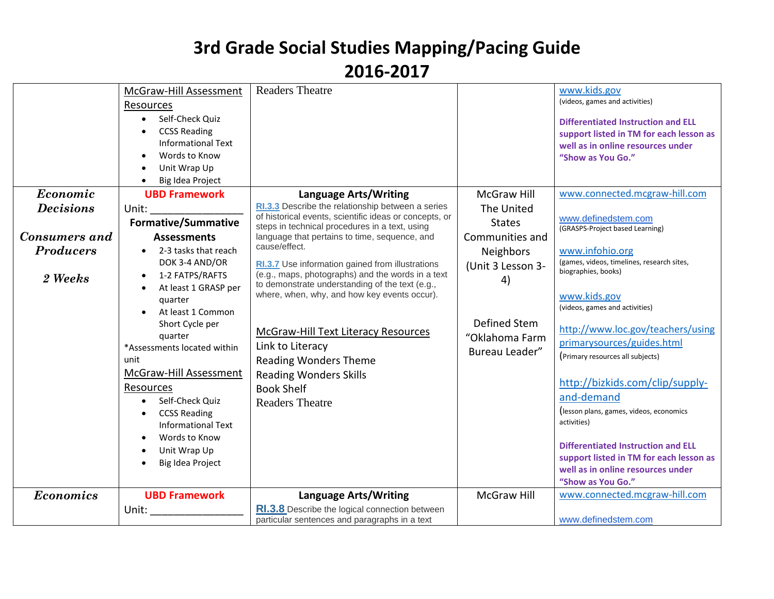|                      | McGraw-Hill Assessment<br>Resources<br>Self-Check Quiz<br>$\bullet$<br><b>CCSS Reading</b><br>$\bullet$<br><b>Informational Text</b><br>Words to Know<br>Unit Wrap Up<br>Big Idea Project<br>$\bullet$                                                                                                                                                 | <b>Readers Theatre</b>                                                                                                                                                                                                                                                                                                          |                                                        | www.kids.gov<br>(videos, games and activities)<br><b>Differentiated Instruction and ELL</b><br>support listed in TM for each lesson as<br>well as in online resources under<br>"Show as You Go."                                                                                                                                                                                                                                          |
|----------------------|--------------------------------------------------------------------------------------------------------------------------------------------------------------------------------------------------------------------------------------------------------------------------------------------------------------------------------------------------------|---------------------------------------------------------------------------------------------------------------------------------------------------------------------------------------------------------------------------------------------------------------------------------------------------------------------------------|--------------------------------------------------------|-------------------------------------------------------------------------------------------------------------------------------------------------------------------------------------------------------------------------------------------------------------------------------------------------------------------------------------------------------------------------------------------------------------------------------------------|
| Economic             | <b>UBD Framework</b>                                                                                                                                                                                                                                                                                                                                   | Language Arts/Writing                                                                                                                                                                                                                                                                                                           | <b>McGraw Hill</b>                                     | www.connected.mcgraw-hill.com                                                                                                                                                                                                                                                                                                                                                                                                             |
| <b>Decisions</b>     | Unit:<br><b>Formative/Summative</b>                                                                                                                                                                                                                                                                                                                    | RI.3.3 Describe the relationship between a series<br>of historical events, scientific ideas or concepts, or                                                                                                                                                                                                                     | The United                                             | www.definedstem.com                                                                                                                                                                                                                                                                                                                                                                                                                       |
| <b>Consumers and</b> | <b>Assessments</b>                                                                                                                                                                                                                                                                                                                                     | steps in technical procedures in a text, using<br>language that pertains to time, sequence, and                                                                                                                                                                                                                                 | <b>States</b><br>Communities and                       | (GRASPS-Project based Learning)                                                                                                                                                                                                                                                                                                                                                                                                           |
| <b>Producers</b>     | 2-3 tasks that reach                                                                                                                                                                                                                                                                                                                                   | cause/effect.                                                                                                                                                                                                                                                                                                                   | Neighbors                                              | www.infohio.org                                                                                                                                                                                                                                                                                                                                                                                                                           |
|                      | DOK 3-4 AND/OR                                                                                                                                                                                                                                                                                                                                         | RI.3.7 Use information gained from illustrations                                                                                                                                                                                                                                                                                | (Unit 3 Lesson 3-                                      | (games, videos, timelines, research sites,                                                                                                                                                                                                                                                                                                                                                                                                |
| 2 Weeks              | 1-2 FATPS/RAFTS<br>$\bullet$<br>At least 1 GRASP per<br>quarter<br>At least 1 Common<br>Short Cycle per<br>quarter<br>*Assessments located within<br>unit<br>McGraw-Hill Assessment<br>Resources<br>Self-Check Quiz<br>$\bullet$<br><b>CCSS Reading</b><br>$\bullet$<br><b>Informational Text</b><br>Words to Know<br>Unit Wrap Up<br>Big Idea Project | (e.g., maps, photographs) and the words in a text<br>to demonstrate understanding of the text (e.g.,<br>where, when, why, and how key events occur).<br>McGraw-Hill Text Literacy Resources<br>Link to Literacy<br><b>Reading Wonders Theme</b><br><b>Reading Wonders Skills</b><br><b>Book Shelf</b><br><b>Readers Theatre</b> | 4)<br>Defined Stem<br>"Oklahoma Farm<br>Bureau Leader" | biographies, books)<br>www.kids.gov<br>(videos, games and activities)<br>http://www.loc.gov/teachers/using<br>primarysources/guides.html<br>(Primary resources all subjects)<br>http://bizkids.com/clip/supply-<br>and-demand<br>(lesson plans, games, videos, economics<br>activities)<br><b>Differentiated Instruction and ELL</b><br>support listed in TM for each lesson as<br>well as in online resources under<br>"Show as You Go." |
| <b>Economics</b>     | <b>UBD Framework</b>                                                                                                                                                                                                                                                                                                                                   | <b>Language Arts/Writing</b>                                                                                                                                                                                                                                                                                                    | McGraw Hill                                            | www.connected.mcgraw-hill.com                                                                                                                                                                                                                                                                                                                                                                                                             |
|                      | Unit:                                                                                                                                                                                                                                                                                                                                                  | RI.3.8 Describe the logical connection between<br>particular sentences and paragraphs in a text                                                                                                                                                                                                                                 |                                                        | www.definedstem.com                                                                                                                                                                                                                                                                                                                                                                                                                       |